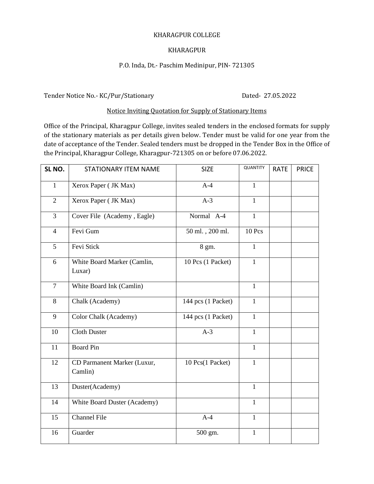## KHARAGPUR COLLEGE

## KHARAGPUR

## P.O. Inda, Dt.- Paschim Medinipur, PIN- 721305

Tender Notice No.- KC/Pur/Stationary Dated- 27.05.2022

## Notice Inviting Quotation for Supply of Stationary Items

Office of the Principal, Kharagpur College, invites sealed tenders in the enclosed formats for supply of the stationary materials as per details given below. Tender must be valid for one year from the date of acceptance of the Tender. Sealed tenders must be dropped in the Tender Box in the Office of the Principal, Kharagpur College, Kharagpur-721305 on or before 07.06.2022.

| SL <sub>NO.</sub> | <b>STATIONARY ITEM NAME</b>            | <b>SIZE</b>          | <b>QUANTITY</b> | <b>RATE</b> | <b>PRICE</b> |
|-------------------|----------------------------------------|----------------------|-----------------|-------------|--------------|
| $\mathbf{1}$      | Xerox Paper (JK Max)                   | $A-4$                | $\mathbf{1}$    |             |              |
| $\overline{2}$    | Xerox Paper (JK Max)                   | $A-3$                | $\mathbf{1}$    |             |              |
| $\overline{3}$    | Cover File (Academy, Eagle)            | Normal A-4           | $\mathbf{1}$    |             |              |
| $\overline{4}$    | Fevi Gum                               | $50$ ml. , $200$ ml. | 10 Pcs          |             |              |
| 5 <sup>5</sup>    | Fevi Stick                             | 8 gm.                | $\mathbf{1}$    |             |              |
| 6                 | White Board Marker (Camlin,<br>Luxar)  | 10 Pcs (1 Packet)    | $\mathbf{1}$    |             |              |
| $\overline{7}$    | White Board Ink (Camlin)               |                      | $\mathbf{1}$    |             |              |
| 8                 | Chalk (Academy)                        | 144 pcs (1 Packet)   | $\mathbf{1}$    |             |              |
| 9                 | Color Chalk (Academy)                  | 144 pcs (1 Packet)   | $\mathbf{1}$    |             |              |
| 10                | <b>Cloth Duster</b>                    | $A-3$                | $\mathbf{1}$    |             |              |
| 11                | <b>Board Pin</b>                       |                      | $\mathbf{1}$    |             |              |
| 12                | CD Parmanent Marker (Luxur,<br>Camlin) | 10 Pcs(1 Packet)     | $\mathbf{1}$    |             |              |
| 13                | Duster(Academy)                        |                      | $\mathbf{1}$    |             |              |
| 14                | White Board Duster (Academy)           |                      | $\mathbf{1}$    |             |              |
| 15                | <b>Channel File</b>                    | $A-4$                | $\mathbf{1}$    |             |              |
| 16                | Guarder                                | 500 gm.              | $\mathbf{1}$    |             |              |